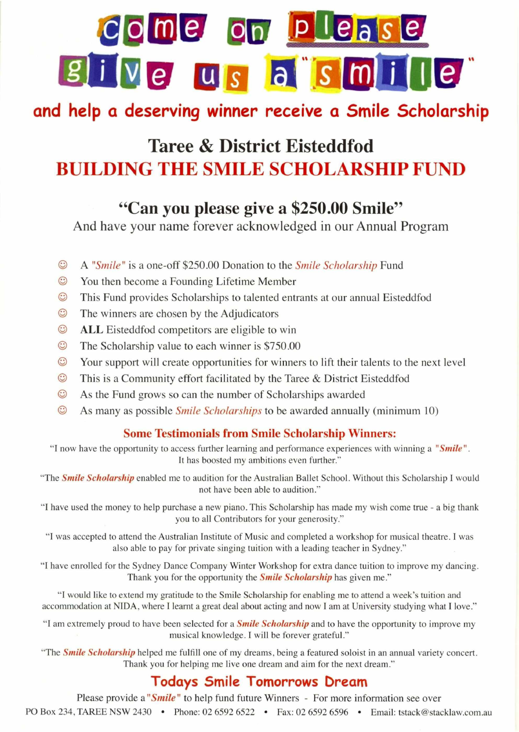# **b** me on ple ive us a smille

## **and help a deserving winner receive a Smile Scholarship**

## **Taree & District Eisteddfod BUILDING THE SMILE SCHOLARSHIP FUND**

## **"Can you please give a \$250.00 Smile"**

And have your name forever acknowledged in our Annual Program

- 0 A *"Smile"* is a one-off \$250.00 Donation to the *Smile Scholarship* Fund
- $\odot$ You then become a Founding Lifetime Member
- O This Fund provides Scholarships to talented entrants at our annual Eisteddfod
- $\odot$  The winners are chosen by the Adjudicators
- **C** ALL Eisteddfod competitors are eligible to win
- O The Scholarship value to each winner is \$750.00
- 0 Your support will create opportunities for winners to lift their talents to the next level
- $\odot$  This is a Community effort facilitated by the Taree & District Eisteddfod
- O As the Fund grows so can the number of Scholarships awarded
- O As many as possible *Smile Scholarships* to be awarded annually (minimum 10)

#### **Some Testimonials from Smile Scholarship Winners:**

**"I** now have the opportunity to access further learning and performance experiences with winning a *"Smile".*  It has boosted my ambitions even further."

"The *Smile Scholarship* enabled me to audition for the Australian Ballet School. Without this Scholarship I would not have been able to audition."

"I have used the money to help purchase a new piano. This Scholarship has made my wish come true - a big thank you to all Contributors for your generosity."

"I was accepted to attend the Australian Institute of Music and completed a workshop for musical theatre. I was also able to pay for private singing tuition with a leading teacher in Sydney."

"I have enrolled for the Sydney Dance Company Winter Workshop for extra dance tuition to improve my dancing. Thank you for the opportunity the *Smile Scholarship* has given me."

"I would like to extend my gratitude to the Smile Scholarship for enabling me to attend a week's tuition and accommodation at NIDA, where I learnt a great deal about acting and now I am at University studying what I love."

"I am extremely proud to have been selected for a *Smile Scholarship* and to have the opportunity to improve my musical knowledge. I will be forever grateful."

"The *Smile Scholarship* helped me fulfill one of my dreams, being a featured soloist in an annual variety concert. Thank you for helping me live one dream and aim for the next dream."

### **Todays Smile Tomorrows bream**

Please provide a "*Smile*" to help fund future Winners - For more information see over PO Box 234, TAREE NSW 2430 • Phone: 02 6592 6522 • Fax: 02 6592 6596 • Email: tstack@stacklaw.com.au